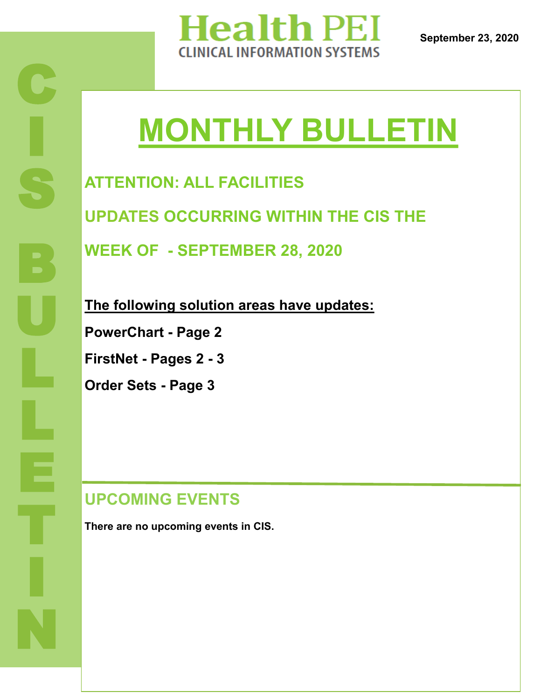

# **MONTHLY BULLETIN**

**ATTENTION: ALL FACILITIES UPDATES OCCURRING WITHIN THE CIS THE WEEK OF - SEPTEMBER 28, 2020**

**The following solution areas have updates:**

**PowerChart - Page 2**

**FirstNet - Pages 2 - 3**

**Order Sets - Page 3**

#### **UPCOMING EVENTS**

**There are no upcoming events in CIS.**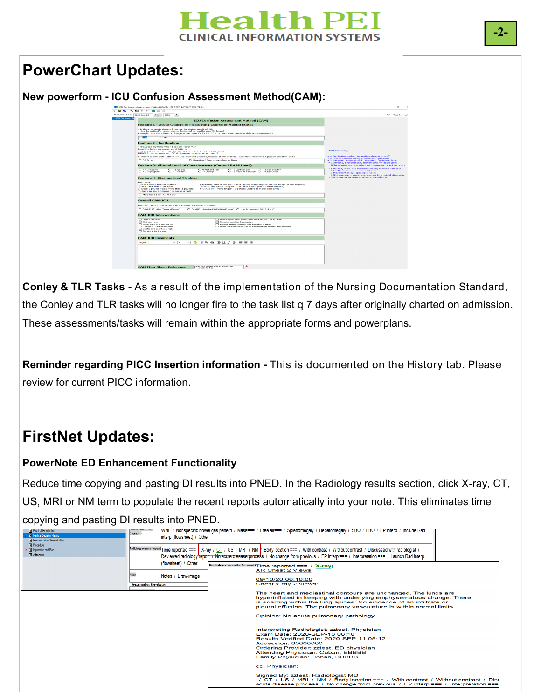#### **Tealth PEI** INICAL INFORMATION SYSTEMS

#### **PowerChart Updates:**

#### **New powerform - ICU Confusion Assessment Method(CAM):**



**Conley & TLR Tasks -** As a result of the implementation of the Nursing Documentation Standard, the Conley and TLR tasks will no longer fire to the task list q 7 days after originally charted on admission. These assessments/tasks will remain within the appropriate forms and powerplans.

**Reminder regarding PICC Insertion information -** This is documented on the History tab. Please review for current PICC information.

## **FirstNet Updates:**

#### **PowerNote ED Enhancement Functionality**

Reduce time copying and pasting DI results into PNED. In the Radiology results section, click X-ray, CT, US, MRI or NM term to populate the recent reports automatically into your note. This eliminates time copying and pasting DI results into PNED.